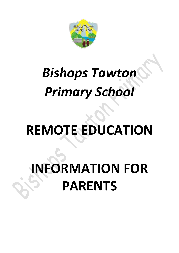

# *Bishops Tawton Primary School*

# **REMOTE EDUCATION**

# **INFORMATION FOR PARENTS**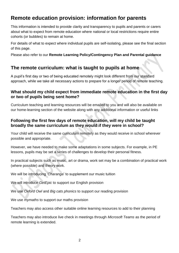# **Remote education provision: information for parents**

This information is intended to provide clarity and transparency to pupils and parents or carers about what to expect from remote education where national or local restrictions require entire cohorts (or bubbles) to remain at home.

For details of what to expect where individual pupils are self-isolating, please see the final section of this page.

Please also refer to our **Remote Learning Policy/Contingency Plan and Parental guidance** 

## **The remote curriculum: what is taught to pupils at home**

A pupil's first day or two of being educated remotely might look different from our standard approach, while we take all necessary actions to prepare for a longer period of remote teaching.

### **What should my child expect from immediate remote education in the first day or two of pupils being sent home?**

Curriculum teaching and learning resources will be emailed to you and will also be available on our home-learning section of the website along with any additional information or useful links

## **Following the first few days of remote education, will my child be taught broadly the same curriculum as they would if they were in school?**

Your child will receive the same curriculum remotely as they would receive in school wherever possible and appropriate.

However, we have needed to make some adaptations in some subjects. For example, in PE lessons, pupils may be set a series of challenges to develop their personal fitness.

In practical subjects such as music, art or drama, work set may be a combination of practical work (where possible) and theory work.

We will be introducing '*Charanga*' to supplement our music tuition

We will introduce *GetEpic* to support our English provision

We use *Oxford Owl* and *Big cats phonics* to support our reading provision

We use *mymaths* to support our maths provision

Teachers may also access other suitable online learning resources to add to their planning

Teachers may also introduce live check in meetings through *Microsoft Teams* as the period of remote learning is extended.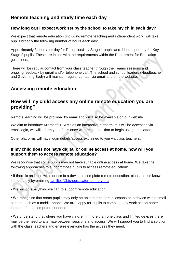# **Remote teaching and study time each day**

## **How long can I expect work set by the school to take my child each day?**

We expect that remote education (including remote teaching and independent work) will take pupils broadly the following number of hours each day:

Approximately 3 hours per day for Reception/Key Stage 1 pupils and 4 hours per day for Key Stage 2 pupils. These are in line with the requirements within the Department for Education guidelines.

There will be regular contact from your class teacher through the Teams sessions and ongoing feedback by email and/or telephone call. The school and school leaders (Headteacher and Governing Body) will maintain regular contact via email and on the website.

# **Accessing remote education**

## **How will my child access any online remote education you are providing?**

Remote learning will be provided by email and will also be available on our website

We aim to introduce Microsoft TEAMs as an interactive platform, this will be accessed via email/login, we will inform you of this once we are in a position to begin using the platform.

Other platforms will have login details/access explained to you via class teachers.

## **If my child does not have digital or online access at home, how will you support them to access remote education?**

We recognise that some pupils may not have suitable online access at home. We take the following approaches to support those pupils to access remote education:

• If there is an issue with access to a device to complete remote education, please let us know immediately by emailing [families@bishopstawton-primary.org](mailto:families@bishopstawton-primary.org)

• We will do everything we can to support remote education.

• We recognise that some pupils may only be able to take part in lessons on a device with a small screen, such as a mobile phone. We are happy for pupils to complete any work set on paper instead of on a computer if needed.

• We understand that where you have children in more than one class and limited devices there may be the need to alternate between sessions and access. We will support you to find a solution with the class teachers and ensure everyone has the access they need.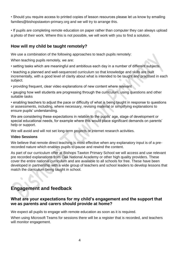• Should you require access to printed copies of lesson resources please let us know by emailing families@bishopstawton-primary.org and we will try to arrange this.

• If pupils are completing remote education on paper rather than computer they can always upload a photo of their work. Where this is not possible, we will work with you to find a solution.

## **How will my child be taught remotely?**

We use a combination of the following approaches to teach pupils remotely:

When teaching pupils remotely, we are:

• setting tasks which are meaningful and ambitious each day in a number of different subjects.

• teaching a planned and well-sequenced curriculum so that knowledge and skills are built incrementally, with a good level of clarity about what is intended to be taught and practised in each subject.

• providing frequent, clear video explanations of new content where relevant

• gauging how well students are progressing through the curriculum, using questions and other suitable tasks

• enabling teachers to adjust the pace or difficulty of what is being taught in response to questions or assessments, including, where necessary, revising material or simplifying explanations to ensure pupils' understanding.

We are considering these expectations in relation to the pupils' age, stage of development or special educational needs, for example where this would place significant demands on parents' help or support.

We will avoid and will not set long-term projects or internet research activities.

#### **Video Sessions**

We believe that remote direct teaching is most effective when any explanatory input is of a prerecorded nature which enables pupils to pause and rewind the content.

As part of our curriculum offer at Bishops Tawton Primary School we will access and use relevant pre recorded explanations from Oak National Academy or other high quality providers. These cover the entire national curriculum and are available to all schools for free. These have been developed in partnership with a wide group of teachers and school leaders to develop lessons that match the curriculum being taught in school.

# **Engagement and feedback**

## **What are your expectations for my child's engagement and the support that we as parents and carers should provide at home?**

We expect all pupils to engage with remote education as soon as it is required.

When using Microsoft Teams for sessions there will be a register that is recorded, and teachers will monitor engagement.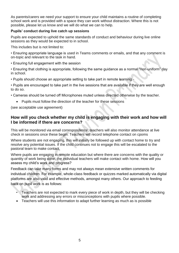As parents/carers we need your support to ensure your child maintains a routine of completing school work and is provided with a space they can work without distraction. Where this is not possible, please let us know and we will do what we can to help.

#### **Pupils' conduct during live catch up sessions**

Pupils are expected to uphold the same standards of conduct and behaviour during live online sessions as they would be expected to in school.

This includes but is not limited to:

- Ensuring appropriate language is used in Teams comments or emails, and that any comment is on-topic and relevant to the task in hand.
- Ensuring full engagement with the session
- Ensuring that clothing is appropriate, following the same guidance as a normal "non-uniform" day in school.
- Pupils should choose an appropriate setting to take part in remote learning -
- Pupils are encouraged to take part in the live sessions that are available if they are well enough to do so.
- Cameras should be turned off Microphones muted unless directed otherwise by the teacher.
	- Pupils must follow the direction of the teacher for these sessions

(see acceptable use agreement)

### **How will you check whether my child is engaging with their work and how will I be informed if there are concerns?**

This will be monitored via email correspondence, teachers will also monitor attendance at live check in sessions once these begin. Teachers will record telephone contact on cpoms

Where students are not engaging, this will initially be followed up with contact home to try and resolve any potential issues. If the child continues not to engage this will be escalated to the pastoral team to make contact.

Where pupils are engaging in remote education but where there are concerns with the quality or quantity of work being done, the individual teachers will make contact with home. How will you assess my child's work and progress?

Feedback can take many forms and may not always mean extensive written comments for individual children. For example, whole-class feedback or quizzes marked automatically via digital platforms are also valid and effective methods, amongst many others. Our approach to feeding back on pupil work is as follows:

- Teachers are not expected to mark every piece of work in depth, but they will be checking work and addressing any errors or misconceptions with pupils where possible.
- Teachers will use this information to adapt further learning as much as is possible